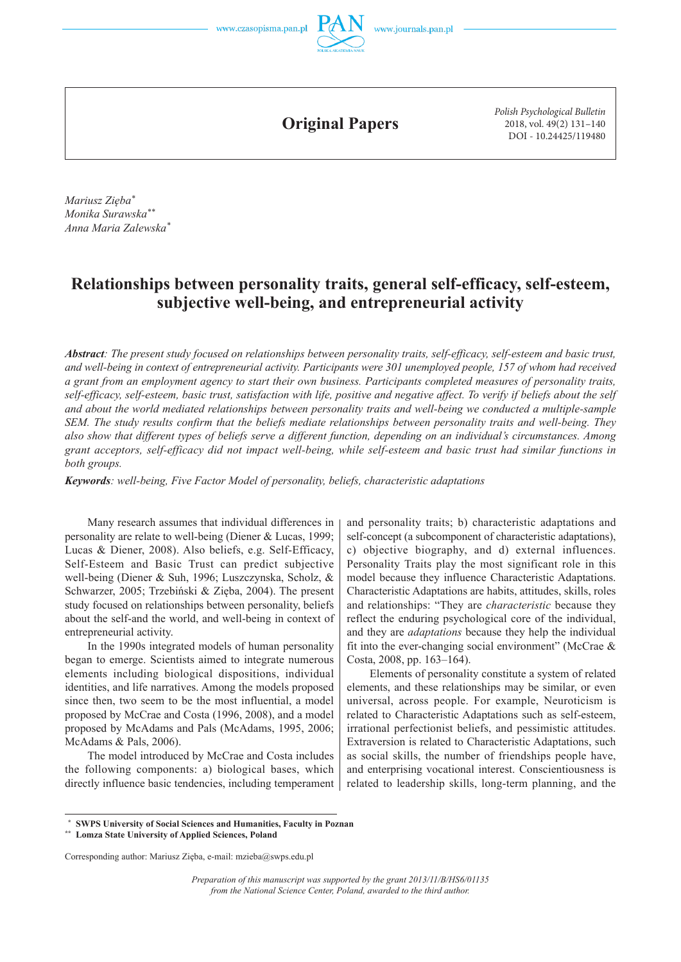

**Original Papers**

*Polish Psychological Bulletin* 2018, vol. 49(2) 131–140 DOI - 10.24425/119480

*Mariusz Zięba\* Monika Surawska\*\* Anna Maria Zalewska\**

# **Relationships between personality traits, general self-efficacy, self-esteem, subjective well-being, and entrepreneurial activity**

*Abstract: The present study focused on relationships between personality traits, self-efficacy, self-esteem and basic trust, and well-being in context of entrepreneurial activity. Participants were 301 unemployed people, 157 of whom had received a grant from an employment agency to start their own business. Participants completed measures of personality traits, self-efficacy, self-esteem, basic trust, satisfaction with life, positive and negative affect. To verify if beliefs about the self and about the world mediated relationships between personality traits and well-being we conducted a multiple-sample SEM. The study results confirm that the beliefs mediate relationships between personality traits and well-being. They also show that different types of beliefs serve a different function, depending on an individual's circumstances. Among grant acceptors, self-efficacy did not impact well-being, while self-esteem and basic trust had similar functions in both groups.*

*Keywords: well-being, Five Factor Model of personality, beliefs, characteristic adaptations*

Many research assumes that individual differences in personality are relate to well-being (Diener & Lucas, 1999; Lucas & Diener, 2008). Also beliefs, e.g. Self-Efficacy, Self-Esteem and Basic Trust can predict subjective well-being (Diener & Suh, 1996; Luszczynska, Scholz, & Schwarzer, 2005; Trzebiński & Zięba, 2004). The present study focused on relationships between personality, beliefs about the self-and the world, and well-being in context of entrepreneurial activity.

In the 1990s integrated models of human personality began to emerge. Scientists aimed to integrate numerous elements including biological dispositions, individual identities, and life narratives. Among the models proposed since then, two seem to be the most influential, a model proposed by McCrae and Costa (1996, 2008), and a model proposed by McAdams and Pals (McAdams, 1995, 2006; McAdams & Pals, 2006).

The model introduced by McCrae and Costa includes the following components: a) biological bases, which directly influence basic tendencies, including temperament and personality traits; b) characteristic adaptations and self-concept (a subcomponent of characteristic adaptations), c) objective biography, and d) external influences. Personality Traits play the most significant role in this model because they influence Characteristic Adaptations. Characteristic Adaptations are habits, attitudes, skills, roles and relationships: "They are *characteristic* because they reflect the enduring psychological core of the individual, and they are *adaptations* because they help the individual fit into the ever-changing social environment" (McCrae  $\&$ Costa, 2008, pp. 163–164).

Elements of personality constitute a system of related elements, and these relationships may be similar, or even universal, across people. For example, Neuroticism is related to Characteristic Adaptations such as self-esteem, irrational perfectionist beliefs, and pessimistic attitudes. Extraversion is related to Characteristic Adaptations, such as social skills, the number of friendships people have, and enterprising vocational interest. Conscientiousness is related to leadership skills, long-term planning, and the

**\*\* Lomza State University of Applied Sciences, Poland**

Corresponding author: Mariusz Zięba, e-mail: mzieba@swps.edu.pl

**SWPS University of Social Sciences and Humanities, Faculty in Poznan** 

*Preparation of this manuscript was supported by the grant 2013/11/B/HS6/01135 from the National Science Center, Poland, awarded to the third author.*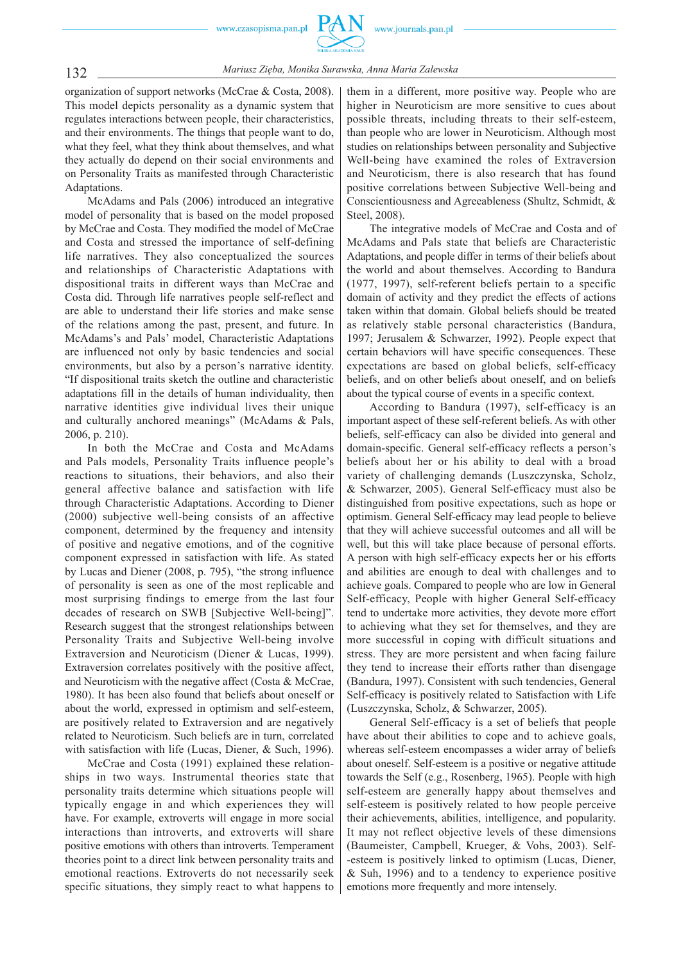

132 *Mariusz Zięba, Monika Surawska, Anna Maria Zalewska*

organization of support networks (McCrae & Costa, 2008). This model depicts personality as a dynamic system that regulates interactions between people, their characteristics, and their environments. The things that people want to do, what they feel, what they think about themselves, and what they actually do depend on their social environments and on Personality Traits as manifested through Characteristic Adaptations.

McAdams and Pals (2006) introduced an integrative model of personality that is based on the model proposed by McCrae and Costa. They modified the model of McCrae and Costa and stressed the importance of self-defining life narratives. They also conceptualized the sources and relationships of Characteristic Adaptations with dispositional traits in different ways than McCrae and Costa did. Through life narratives people self-reflect and are able to understand their life stories and make sense of the relations among the past, present, and future. In McAdams's and Pals' model, Characteristic Adaptations are influenced not only by basic tendencies and social environments, but also by a person's narrative identity. "If dispositional traits sketch the outline and characteristic adaptations fill in the details of human individuality, then narrative identities give individual lives their unique and culturally anchored meanings" (McAdams & Pals, 2006, p. 210).

In both the McCrae and Costa and McAdams and Pals models, Personality Traits influence people's reactions to situations, their behaviors, and also their general affective balance and satisfaction with life through Characteristic Adaptations. According to Diener (2000) subjective well-being consists of an affective component, determined by the frequency and intensity of positive and negative emotions, and of the cognitive component expressed in satisfaction with life. As stated by Lucas and Diener (2008, p. 795), "the strong influence of personality is seen as one of the most replicable and most surprising findings to emerge from the last four decades of research on SWB [Subjective Well-being]". Research suggest that the strongest relationships between Personality Traits and Subjective Well-being involve Extraversion and Neuroticism (Diener & Lucas, 1999). Extraversion correlates positively with the positive affect, and Neuroticism with the negative affect (Costa & McCrae, 1980). It has been also found that beliefs about oneself or about the world, expressed in optimism and self-esteem, are positively related to Extraversion and are negatively related to Neuroticism. Such beliefs are in turn, correlated with satisfaction with life (Lucas, Diener, & Such, 1996).

McCrae and Costa (1991) explained these relationships in two ways. Instrumental theories state that personality traits determine which situations people will typically engage in and which experiences they will have. For example, extroverts will engage in more social interactions than introverts, and extroverts will share positive emotions with others than introverts. Temperament theories point to a direct link between personality traits and emotional reactions. Extroverts do not necessarily seek specific situations, they simply react to what happens to

them in a different, more positive way. People who are higher in Neuroticism are more sensitive to cues about possible threats, including threats to their self-esteem, than people who are lower in Neuroticism. Although most studies on relationships between personality and Subjective Well-being have examined the roles of Extraversion and Neuroticism, there is also research that has found positive correlations between Subjective Well-being and Conscientiousness and Agreeableness (Shultz, Schmidt, & Steel, 2008).

The integrative models of McCrae and Costa and of McAdams and Pals state that beliefs are Characteristic Adaptations, and people differ in terms of their beliefs about the world and about themselves. According to Bandura (1977, 1997), self-referent beliefs pertain to a specific domain of activity and they predict the effects of actions taken within that domain. Global beliefs should be treated as relatively stable personal characteristics (Bandura, 1997; Jerusalem & Schwarzer, 1992). People expect that certain behaviors will have specific consequences. These expectations are based on global beliefs, self-efficacy beliefs, and on other beliefs about oneself, and on beliefs about the typical course of events in a specific context.

According to Bandura (1997), self-efficacy is an important aspect of these self-referent beliefs. As with other beliefs, self-efficacy can also be divided into general and domain-specific. General self-efficacy reflects a person's beliefs about her or his ability to deal with a broad variety of challenging demands (Luszczynska, Scholz, & Schwarzer, 2005). General Self-efficacy must also be distinguished from positive expectations, such as hope or optimism. General Self-efficacy may lead people to believe that they will achieve successful outcomes and all will be well, but this will take place because of personal efforts. A person with high self-efficacy expects her or his efforts and abilities are enough to deal with challenges and to achieve goals. Compared to people who are low in General Self-efficacy, People with higher General Self-efficacy tend to undertake more activities, they devote more effort to achieving what they set for themselves, and they are more successful in coping with difficult situations and stress. They are more persistent and when facing failure they tend to increase their efforts rather than disengage (Bandura, 1997). Consistent with such tendencies, General Self-efficacy is positively related to Satisfaction with Life (Luszczynska, Scholz, & Schwarzer, 2005).

General Self-efficacy is a set of beliefs that people have about their abilities to cope and to achieve goals, whereas self-esteem encompasses a wider array of beliefs about oneself. Self-esteem is a positive or negative attitude towards the Self (e.g., Rosenberg, 1965). People with high self-esteem are generally happy about themselves and self-esteem is positively related to how people perceive their achievements, abilities, intelligence, and popularity. It may not reflect objective levels of these dimensions (Baumeister, Campbell, Krueger, & Vohs, 2003). Self- -esteem is positively linked to optimism (Lucas, Diener, & Suh, 1996) and to a tendency to experience positive emotions more frequently and more intensely.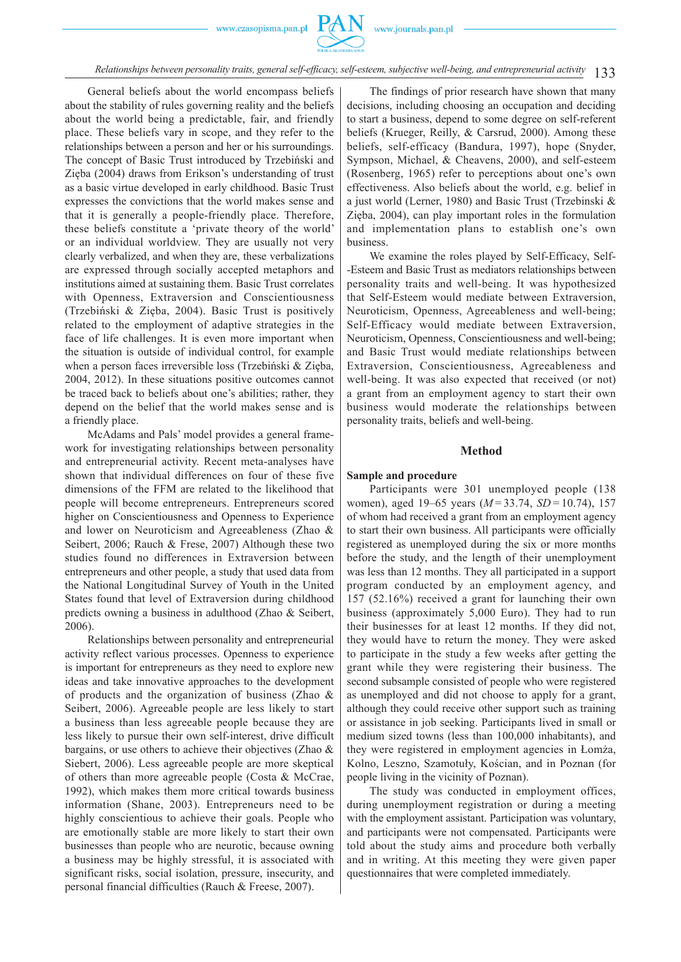

133 *Relationships between personality traits, general self-efficacy, self-esteem, subjective well-being, and entrepreneurial activity*

General beliefs about the world encompass beliefs about the stability of rules governing reality and the beliefs about the world being a predictable, fair, and friendly place. These beliefs vary in scope, and they refer to the relationships between a person and her or his surroundings. The concept of Basic Trust introduced by Trzebiński and Zięba (2004) draws from Erikson's understanding of trust as a basic virtue developed in early childhood. Basic Trust expresses the convictions that the world makes sense and that it is generally a people-friendly place. Therefore, these beliefs constitute a 'private theory of the world' or an individual worldview. They are usually not very clearly verbalized, and when they are, these verbalizations are expressed through socially accepted metaphors and institutions aimed at sustaining them. Basic Trust correlates with Openness, Extraversion and Conscientiousness (Trzebiński & Zięba, 2004). Basic Trust is positively related to the employment of adaptive strategies in the face of life challenges. It is even more important when the situation is outside of individual control, for example when a person faces irreversible loss (Trzebiński & Zięba, 2004, 2012). In these situations positive outcomes cannot be traced back to beliefs about one's abilities; rather, they depend on the belief that the world makes sense and is a friendly place.

McAdams and Pals' model provides a general framework for investigating relationships between personality and entrepreneurial activity. Recent meta-analyses have shown that individual differences on four of these five dimensions of the FFM are related to the likelihood that people will become entrepreneurs. Entrepreneurs scored higher on Conscientiousness and Openness to Experience and lower on Neuroticism and Agreeableness (Zhao & Seibert, 2006; Rauch & Frese, 2007) Although these two studies found no differences in Extraversion between entrepreneurs and other people, a study that used data from the National Longitudinal Survey of Youth in the United States found that level of Extraversion during childhood predicts owning a business in adulthood (Zhao & Seibert, 2006).

Relationships between personality and entrepreneurial activity reflect various processes. Openness to experience is important for entrepreneurs as they need to explore new ideas and take innovative approaches to the development of products and the organization of business (Zhao & Seibert, 2006). Agreeable people are less likely to start a business than less agreeable people because they are less likely to pursue their own self-interest, drive difficult bargains, or use others to achieve their objectives (Zhao & Siebert, 2006). Less agreeable people are more skeptical of others than more agreeable people (Costa & McCrae, 1992), which makes them more critical towards business information (Shane, 2003). Entrepreneurs need to be highly conscientious to achieve their goals. People who are emotionally stable are more likely to start their own businesses than people who are neurotic, because owning a business may be highly stressful, it is associated with significant risks, social isolation, pressure, insecurity, and personal financial difficulties (Rauch & Freese, 2007).

The findings of prior research have shown that many decisions, including choosing an occupation and deciding to start a business, depend to some degree on self-referent beliefs (Krueger, Reilly, & Carsrud, 2000). Among these beliefs, self-efficacy (Bandura, 1997), hope (Snyder, Sympson, Michael, & Cheavens, 2000), and self-esteem (Rosenberg, 1965) refer to perceptions about one's own effectiveness. Also beliefs about the world, e.g. belief in a just world (Lerner, 1980) and Basic Trust (Trzebinski & Zięba, 2004), can play important roles in the formulation and implementation plans to establish one's own business.

We examine the roles played by Self-Efficacy, Self- -Esteem and Basic Trust as mediators relationships between personality traits and well-being. It was hypothesized that Self-Esteem would mediate between Extraversion, Neuroticism, Openness, Agreeableness and well-being; Self-Efficacy would mediate between Extraversion, Neuroticism, Openness, Conscientiousness and well-being; and Basic Trust would mediate relationships between Extraversion, Conscientiousness, Agreeableness and well-being. It was also expected that received (or not) a grant from an employment agency to start their own business would moderate the relationships between personality traits, beliefs and well-being.

#### **Method**

#### **Sample and procedure**

Participants were 301 unemployed people (138 women), aged 19–65 years (*M* = 33.74, *SD* = 10.74), 157 of whom had received a grant from an employment agency to start their own business. All participants were officially registered as unemployed during the six or more months before the study, and the length of their unemployment was less than 12 months. They all participated in a support program conducted by an employment agency, and 157 (52.16%) received a grant for launching their own business (approximately 5,000 Euro). They had to run their businesses for at least 12 months. If they did not, they would have to return the money. They were asked to participate in the study a few weeks after getting the grant while they were registering their business. The second subsample consisted of people who were registered as unemployed and did not choose to apply for a grant, although they could receive other support such as training or assistance in job seeking. Participants lived in small or medium sized towns (less than 100,000 inhabitants), and they were registered in employment agencies in Łomża, Kolno, Leszno, Szamotuły, Kościan, and in Poznan (for people living in the vicinity of Poznan).

The study was conducted in employment offices, during unemployment registration or during a meeting with the employment assistant. Participation was voluntary, and participants were not compensated. Participants were told about the study aims and procedure both verbally and in writing. At this meeting they were given paper questionnaires that were completed immediately.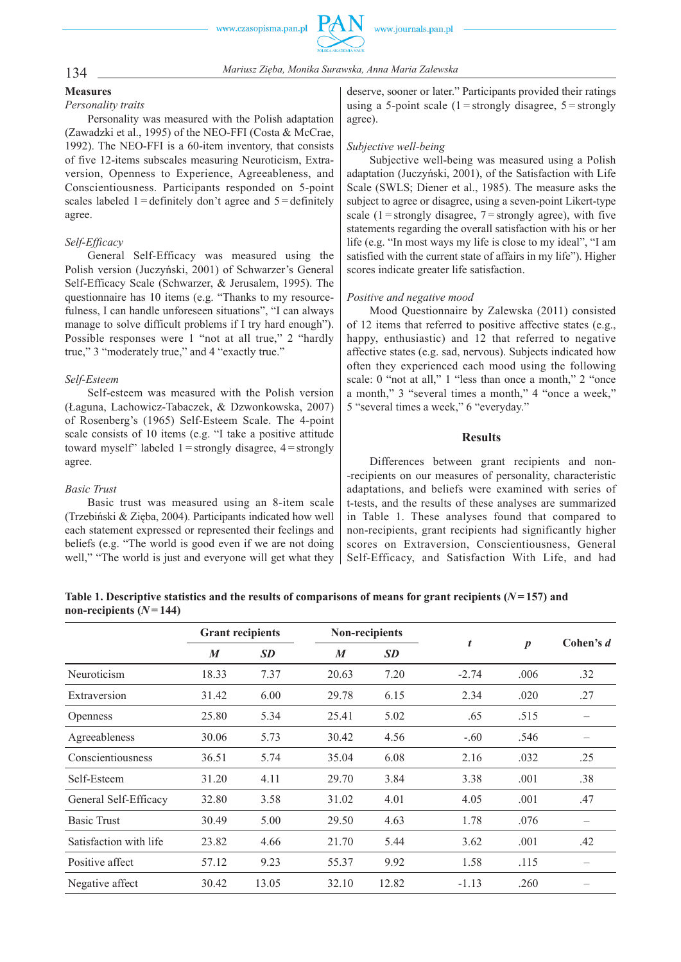

# 134 *Mariusz Zięba, Monika Surawska, Anna Maria Zalewska*

#### **Measures**

#### *Personality traits*

Personality was measured with the Polish adaptation (Zawadzki et al., 1995) of the NEO-FFI (Costa & McCrae, 1992). The NEO-FFI is a 60-item inventory, that consists of five 12-items subscales measuring Neuroticism, Extraversion, Openness to Experience, Agreeableness, and Conscientiousness. Participants responded on 5-point scales labeled  $1 =$  definitely don't agree and  $5 =$  definitely agree.

## *Self-Efficacy*

General Self-Efficacy was measured using the Polish version (Juczyński, 2001) of Schwarzer's General Self-Efficacy Scale (Schwarzer, & Jerusalem, 1995). The questionnaire has 10 items (e.g. "Thanks to my resourcefulness, I can handle unforeseen situations", "I can always manage to solve difficult problems if I try hard enough"). Possible responses were 1 "not at all true," 2 "hardly true," 3 "moderately true," and 4 "exactly true."

## *Self-Esteem*

Self-esteem was measured with the Polish version (Łaguna, Lachowicz-Tabaczek, & Dzwonkowska, 2007) of Rosenberg's (1965) Self-Esteem Scale. The 4-point scale consists of 10 items (e.g. "I take a positive attitude toward myself" labeled  $1 =$ strongly disagree,  $4 =$ strongly agree.

#### *Basic Trust*

Basic trust was measured using an 8-item scale (Trzebiński & Zięba, 2004). Participants indicated how well each statement expressed or represented their feelings and beliefs (e.g. "The world is good even if we are not doing well," "The world is just and everyone will get what they

deserve, sooner or later." Participants provided their ratings using a 5-point scale  $(1 =$ strongly disagree,  $5 =$ strongly agree).

### *Subjective well-being*

Subjective well-being was measured using a Polish adaptation (Juczyński, 2001), of the Satisfaction with Life Scale (SWLS; Diener et al., 1985). The measure asks the subject to agree or disagree, using a seven-point Likert-type scale  $(1 =$ strongly disagree,  $7 =$ strongly agree), with five statements regarding the overall satisfaction with his or her life (e.g. "In most ways my life is close to my ideal", "I am satisfied with the current state of affairs in my life"). Higher scores indicate greater life satisfaction.

## *Positive and negative mood*

Mood Questionnaire by Zalewska (2011) consisted of 12 items that referred to positive affective states (e.g., happy, enthusiastic) and 12 that referred to negative affective states (e.g. sad, nervous). Subjects indicated how often they experienced each mood using the following scale: 0 "not at all," 1 "less than once a month," 2 "once a month," 3 "several times a month," 4 "once a week," 5 "several times a week," 6 "everyday."

## **Results**

Differences between grant recipients and non- -recipients on our measures of personality, characteristic adaptations, and beliefs were examined with series of t-tests, and the results of these analyses are summarized in Table 1. These analyses found that compared to non-recipients, grant recipients had significantly higher scores on Extraversion, Conscientiousness, General Self-Efficacy, and Satisfaction With Life, and had

| Table 1. Descriptive statistics and the results of comparisons of means for grant recipients $(N=157)$ and |  |  |
|------------------------------------------------------------------------------------------------------------|--|--|
| non-recipients $(N=144)$                                                                                   |  |  |

|                        | <b>Grant recipients</b> |           | Non-recipients   |           |         |                  | Cohen's d |
|------------------------|-------------------------|-----------|------------------|-----------|---------|------------------|-----------|
|                        | $\boldsymbol{M}$        | <b>SD</b> | $\boldsymbol{M}$ | <b>SD</b> | t       | $\boldsymbol{p}$ |           |
| Neuroticism            | 18.33                   | 7.37      | 20.63            | 7.20      | $-2.74$ | .006             | .32       |
| Extraversion           | 31.42                   | 6.00      | 29.78            | 6.15      | 2.34    | .020             | .27       |
| <b>Openness</b>        | 25.80                   | 5.34      | 25.41            | 5.02      | .65     | .515             |           |
| Agreeableness          | 30.06                   | 5.73      | 30.42            | 4.56      | $-.60$  | .546             |           |
| Conscientiousness      | 36.51                   | 5.74      | 35.04            | 6.08      | 2.16    | .032             | .25       |
| Self-Esteem            | 31.20                   | 4.11      | 29.70            | 3.84      | 3.38    | .001             | .38       |
| General Self-Efficacy  | 32.80                   | 3.58      | 31.02            | 4.01      | 4.05    | .001             | .47       |
| <b>Basic Trust</b>     | 30.49                   | 5.00      | 29.50            | 4.63      | 1.78    | .076             |           |
| Satisfaction with life | 23.82                   | 4.66      | 21.70            | 5.44      | 3.62    | .001             | .42       |
| Positive affect        | 57.12                   | 9.23      | 55.37            | 9.92      | 1.58    | .115             |           |
| Negative affect        | 30.42                   | 13.05     | 32.10            | 12.82     | $-1.13$ | .260             |           |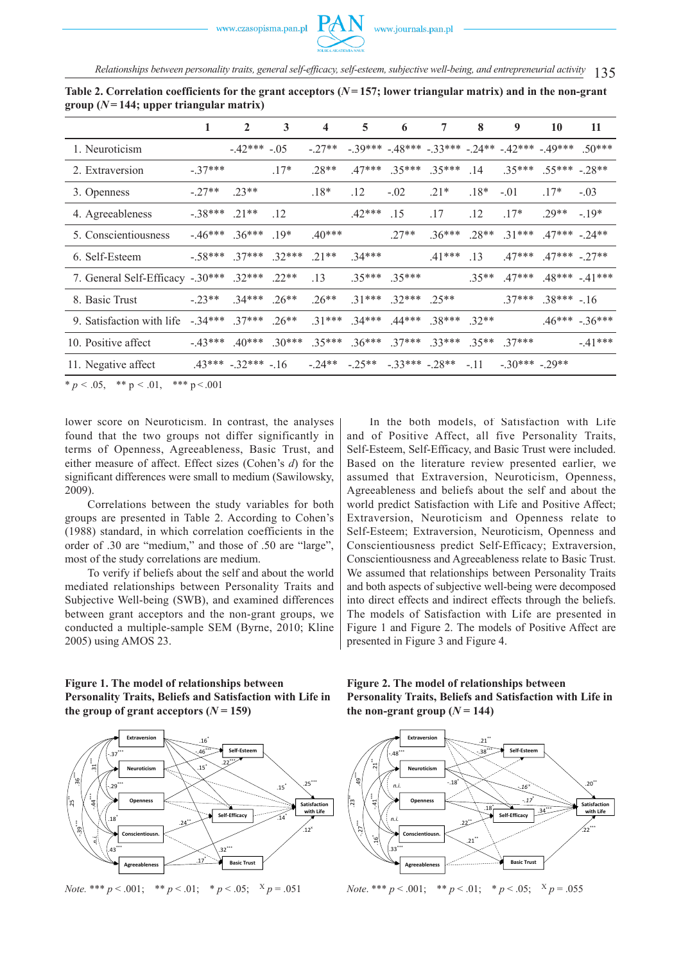135 *Relationships between personality traits, general self-efficacy, self-esteem, subjective well-being, and entrepreneurial activity*

|                                  | 1         | $\mathbf{2}$        | 3       | 4       | 5                          | 6                                                             | 7        | 8       | 9                | 10                | 11                |
|----------------------------------|-----------|---------------------|---------|---------|----------------------------|---------------------------------------------------------------|----------|---------|------------------|-------------------|-------------------|
| 1. Neuroticism                   |           | $-42***$            | $-.05$  | $-27**$ |                            | $-39***$ $-48***$ $-33***$ $-24**$ $-42***$ $-49***$ $-50***$ |          |         |                  |                   |                   |
| 2. Extraversion                  | $-.37***$ |                     | $.17*$  | $.28**$ | $.47***$                   | $35***$                                                       | $.35***$ | .14     | $.35***$         | $.55*** - 28**$   |                   |
| 3. Openness                      | $-27**$   | $.23**$             |         | $.18*$  | .12                        | $-.02$                                                        | $.21*$   | $.18*$  | $-.01$           | $17*$             | $-.03$            |
| 4. Agreeableness                 | $-38***$  | $21**$              | .12     |         | $.42***$                   | .15                                                           | .17      | .12     | $.17*$           | $.29**$           | $-19*$            |
| 5. Conscientiousness             | $-46***$  | $36***$             | $19*$   | $40***$ |                            | $.27**$                                                       | $.36***$ | $.28**$ | $31***$          | $.47***$ $-24**$  |                   |
| 6. Self-Esteem                   | $-.58***$ | $37***$             | $32***$ | $.21**$ | $.34***$                   |                                                               | $.41***$ | .13     | $.47***$         | $.47***$ $-.27**$ |                   |
| 7. General Self-Efficacy -.30*** |           | $.32***$            | $.22**$ | .13     |                            | $.35***$ $.35***$                                             |          | $35**$  | $.47***$         |                   | $.48*** - .41***$ |
| 8. Basic Trust                   | $-0.23**$ | $34***$             | $.26**$ | $.26**$ | $31***$                    | $32***$                                                       | $25**$   |         | $.37***$         | $.38*** - .16$    |                   |
| 9. Satisfaction with life        | $-.34***$ | $.37***$            | $.26**$ | $31***$ | $34***$                    | $.44***$                                                      | $38***$  | $32**$  |                  |                   | $.46***-.36***$   |
| 10. Positive affect              | $-43***$  | $40***$             | $30***$ | $35***$ | $36***$                    | $37***$                                                       | $33***$  |         | $.35***$ 37***   |                   | $-41***$          |
| 11. Negative affect              |           | $.43***-.32***-.16$ |         |         | $-24** -25** -33*** -28**$ |                                                               |          | $-11$   | $-30***$ $-29**$ |                   |                   |

**Table 2. Correlation coefficients for the grant acceptors (***N* **= 157; lower triangular matrix) and in the non-grant**   $\frac{1}{2}$  group ( $N = 144$ ; upper triangular matrix)

\*  $p < .05$ , \*\*  $p < .01$ , \*\*\*  $p < .001$ 

lower score on Neuroticism. In contrast, the analyses found that the two groups not differ significantly in terms of Openness, Agreeableness, Basic Trust, and either measure of affect. Effect sizes (Cohen's *d*) for the significant differences were small to medium (Sawilowsky, 2009).

Correlations between the study variables for both groups are presented in Table 2. According to Cohen's (1988) standard, in which correlation coefficients in the order of .30 are "medium," and those of .50 are "large", most of the study correlations are medium.

To verify if beliefs about the self and about the world mediated relationships between Personality Traits and Subjective Well-being (SWB), and examined differences between grant acceptors and the non-grant groups, we conducted a multiple-sample SEM (Byrne, 2010; Kline 2005) using AMOS 23.

In the both models, of Satisfaction with Life and of Positive Affect, all five Personality Traits, Self-Esteem, Self-Efficacy, and Basic Trust were included. Based on the literature review presented earlier, we assumed that Extraversion, Neuroticism, Openness, Agreeableness and beliefs about the self and about the world predict Satisfaction with Life and Positive Affect; Extraversion, Neuroticism and Openness relate to Self-Esteem; Extraversion, Neuroticism, Openness and Conscientiousness predict Self-Efficacy; Extraversion, Conscientiousness and Agreeableness relate to Basic Trust. We assumed that relationships between Personality Traits and both aspects of subjective well-being were decomposed into direct effects and indirect effects through the beliefs. The models of Satisfaction with Life are presented in Figure 1 and Figure 2. The models of Positive Affect are presented in Figure 3 and Figure 4.





*Note.* \*\*\*  $p < .001$ ; \*\*  $p < .01$ ; \*  $p < .05$ ;  $X p = .051$ 

**Figure 2. The model of relationships between Personality Traits, Beliefs and Satisfaction with Life in**  the non-grant group  $(N = 144)$ 

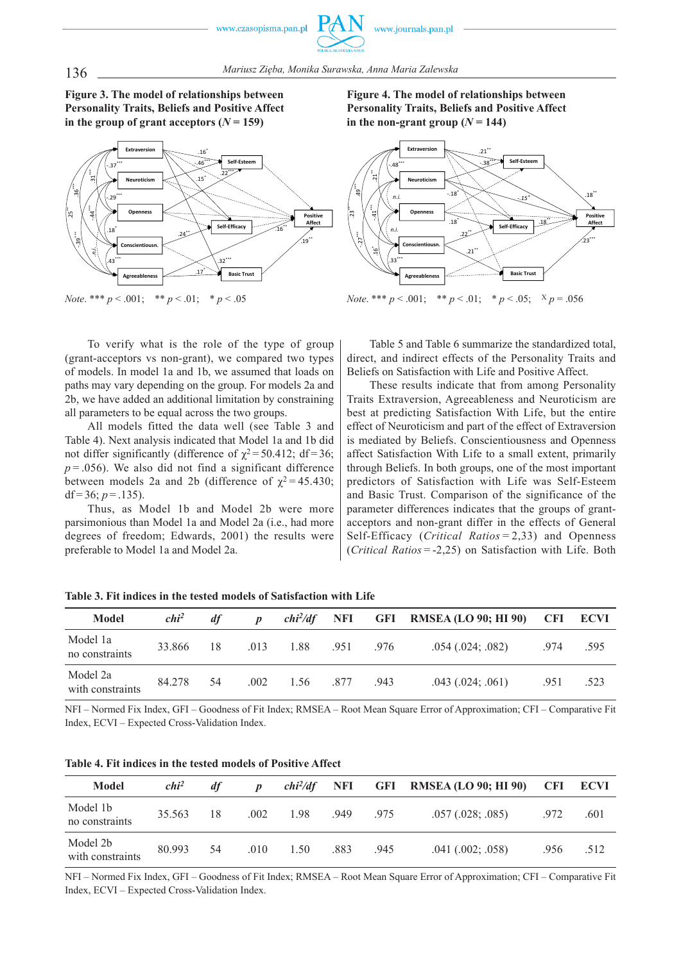136 *Mariusz Zięba, Monika Surawska, Anna Maria Zalewska*

# **Figure 3. The model of relationships between Personality Traits, Beliefs and Positive Affect**  in the group of grant acceptors  $(N = 159)$



*Note*. \*\*\* *p* < .001; \*\* *p* < .01; \* *p* < .05

To verify what is the role of the type of group (grant-acceptors vs non-grant), we compared two types of models. In model 1a and 1b, we assumed that loads on paths may vary depending on the group. For models 2a and 2b, we have added an additional limitation by constraining all parameters to be equal across the two groups.

All models fitted the data well (see Table 3 and Table 4). Next analysis indicated that Model 1a and 1b did not differ significantly (difference of  $\chi^2$  = 50.412; df = 36;  $p = 0.056$ ). We also did not find a significant difference between models 2a and 2b (difference of  $\chi^2$  = 45.430; df =  $36$ ; *p* =  $.135$ ).

Thus, as Model 1b and Model 2b were more parsimonious than Model 1a and Model 2a (i.e., had more degrees of freedom; Edwards, 2001) the results were preferable to Model 1a and Model 2a.

**Figure 4. The model of relationships between Personality Traits, Beliefs and Positive Affect**  in the non-grant group  $(N = 144)$ 



*Note*. \*\*\*  $p < .001$ ; \*\*  $p < .01$ ; \*  $p < .05$ ; X  $p = .056$ 

Table 5 and Table 6 summarize the standardized total, direct, and indirect effects of the Personality Traits and Beliefs on Satisfaction with Life and Positive Affect.

These results indicate that from among Personality Traits Extraversion, Agreeableness and Neuroticism are best at predicting Satisfaction With Life, but the entire effect of Neuroticism and part of the effect of Extraversion is mediated by Beliefs. Conscientiousness and Openness affect Satisfaction With Life to a small extent, primarily through Beliefs. In both groups, one of the most important predictors of Satisfaction with Life was Self-Esteem and Basic Trust. Comparison of the significance of the parameter differences indicates that the groups of grantacceptors and non-grant differ in the effects of General Self-Efficacy (*Critical Ratios* = 2,33) and Openness (*Critical Ratios* = -2,25) on Satisfaction with Life. Both

| Model                        | $chi^2$ | df  | $\boldsymbol{D}$ | $chi^2/df$ NFI |      |      | <b>GFI RMSEA (LO 90; HI 90)</b> | CFI  | ECVI |
|------------------------------|---------|-----|------------------|----------------|------|------|---------------------------------|------|------|
| Model 1a<br>no constraints   | 33.866  | 18  | .013             | 1.88           | .951 | .976 | $.054$ $(.024; .082)$           | .974 | .595 |
| Model 2a<br>with constraints | 84.278  | -54 | .002             | 1.56 .877      |      | .943 | $.043$ $(.024; .061)$           | .951 | .523 |

**Table 3. Fit indices in the tested models of Satisfaction with Life**

NFI – Normed Fix Index, GFI – Goodness of Fit Index; RMSEA – Root Mean Square Error of Approximation; CFI – Comparative Fit Index, ECVI – Expected Cross-Validation Index.

**Table 4. Fit indices in the tested models of Positive Affect**

| <b>Model</b>                 | $chi^2$ | df  | $\boldsymbol{D}$ | $chi^2/df$ NFI |      |      | <b>GFI RMSEA (LO 90; HI 90)</b> |      | <b>CFI ECVI</b> |
|------------------------------|---------|-----|------------------|----------------|------|------|---------------------------------|------|-----------------|
| Model 1b<br>no constraints   | 35.563  | 18  | .002             | 1.98           | .949 | 975  | .057(.028; .085)                | 972  | .601            |
| Model 2b<br>with constraints | 80.993  | -54 | .010             | 1.50           | .883 | .945 | $.041$ $(.002; .058)$           | .956 | .512            |

NFI – Normed Fix Index, GFI – Goodness of Fit Index; RMSEA – Root Mean Square Error of Approximation; CFI – Comparative Fit Index, ECVI – Expected Cross-Validation Index.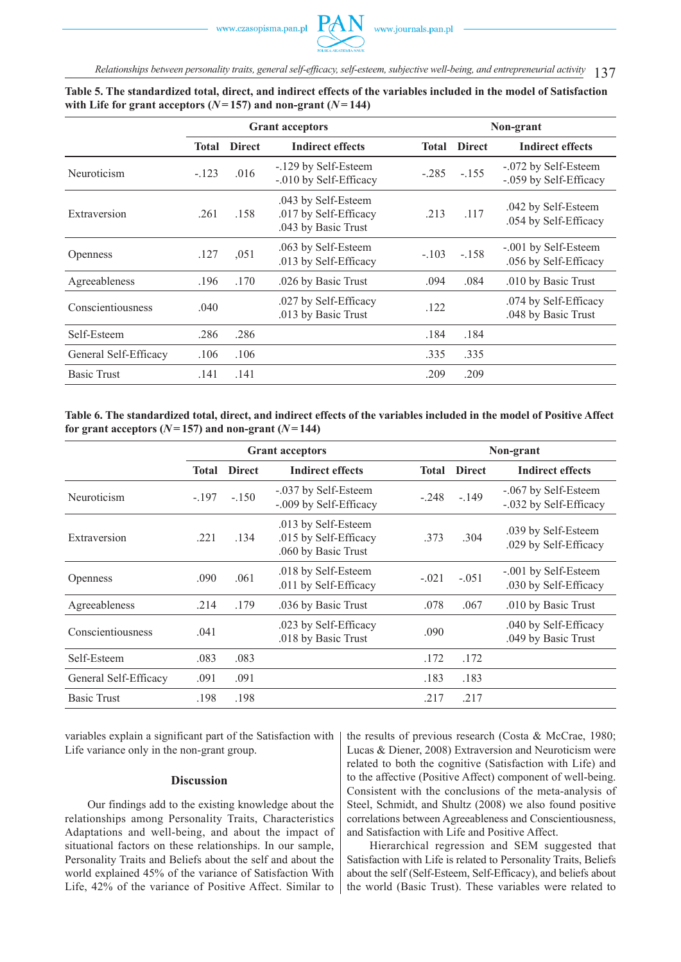137 *Relationships between personality traits, general self-efficacy, self-esteem, subjective well-being, and entrepreneurial activity*

|                       |              |               | <b>Grant acceptors</b>                                              |              | Non-grant     |                                                |  |  |  |  |
|-----------------------|--------------|---------------|---------------------------------------------------------------------|--------------|---------------|------------------------------------------------|--|--|--|--|
|                       | <b>Total</b> | <b>Direct</b> | <b>Indirect effects</b>                                             | <b>Total</b> | <b>Direct</b> | <b>Indirect effects</b>                        |  |  |  |  |
| Neuroticism           | $-.123$      | .016          | -.129 by Self-Esteem<br>-.010 by Self-Efficacy                      | $-.285$      | $-155$        | -.072 by Self-Esteem<br>-.059 by Self-Efficacy |  |  |  |  |
| Extraversion          | .261         | .158          | .043 by Self-Esteem<br>.017 by Self-Efficacy<br>.043 by Basic Trust | .213         | .117          | .042 by Self-Esteem<br>.054 by Self-Efficacy   |  |  |  |  |
| <b>Openness</b>       | .127         | ,051          | .063 by Self-Esteem<br>.013 by Self-Efficacy                        | $-.103$      | $-158$        | -.001 by Self-Esteem<br>.056 by Self-Efficacy  |  |  |  |  |
| Agreeableness         | .196         | .170          | .026 by Basic Trust                                                 | .094         | .084          | .010 by Basic Trust                            |  |  |  |  |
| Conscientiousness     | .040         |               | .027 by Self-Efficacy<br>.013 by Basic Trust                        | .122         |               | .074 by Self-Efficacy<br>.048 by Basic Trust   |  |  |  |  |
| Self-Esteem           | .286         | .286          |                                                                     | .184         | .184          |                                                |  |  |  |  |
| General Self-Efficacy | .106         | .106          |                                                                     | .335         | .335          |                                                |  |  |  |  |
| <b>Basic Trust</b>    | .141         | .141          |                                                                     | .209         | .209          |                                                |  |  |  |  |

# **Table 5. The standardized total, direct, and indirect effects of the variables included in the model of Satisfaction**  with Life for grant acceptors  $(N=157)$  and non-grant  $(N=144)$

**Table 6. The standardized total, direct, and indirect effects of the variables included in the model of Positive Affect**  for grant acceptors  $(N=157)$  and non-grant  $(N=144)$ 

|                       |              |               | <b>Grant acceptors</b>                                              |              | Non-grant     |                                                |  |  |  |
|-----------------------|--------------|---------------|---------------------------------------------------------------------|--------------|---------------|------------------------------------------------|--|--|--|
|                       | <b>Total</b> | <b>Direct</b> | <b>Indirect effects</b>                                             | <b>Total</b> | <b>Direct</b> | <b>Indirect effects</b>                        |  |  |  |
| Neuroticism           | $-197$       | $-150$        | -.037 by Self-Esteem<br>-.009 by Self-Efficacy                      | $-.248$      | $-149$        | -.067 by Self-Esteem<br>-.032 by Self-Efficacy |  |  |  |
| Extraversion          | .221         | .134          | .013 by Self-Esteem<br>.015 by Self-Efficacy<br>.060 by Basic Trust | .373         | .304          | .039 by Self-Esteem<br>.029 by Self-Efficacy   |  |  |  |
| <b>Openness</b>       | .090         | .061          | .018 by Self-Esteem<br>.011 by Self-Efficacy                        | $-.021$      | $-.051$       | -.001 by Self-Esteem<br>.030 by Self-Efficacy  |  |  |  |
| Agreeableness         | .214         | .179          | .036 by Basic Trust                                                 | .078         | .067          | .010 by Basic Trust                            |  |  |  |
| Conscientiousness     | .041         |               | .023 by Self-Efficacy<br>.018 by Basic Trust                        | .090         |               | .040 by Self-Efficacy<br>.049 by Basic Trust   |  |  |  |
| Self-Esteem           | .083         | .083          |                                                                     | .172         | .172          |                                                |  |  |  |
| General Self-Efficacy | .091         | .091          |                                                                     | .183         | .183          |                                                |  |  |  |
| <b>Basic Trust</b>    | .198         | .198          |                                                                     | .217         | .217          |                                                |  |  |  |

variables explain a significant part of the Satisfaction with Life variance only in the non-grant group.

#### **Discussion**

Our findings add to the existing knowledge about the relationships among Personality Traits, Characteristics Adaptations and well-being, and about the impact of situational factors on these relationships. In our sample, Personality Traits and Beliefs about the self and about the world explained 45% of the variance of Satisfaction With Life, 42% of the variance of Positive Affect. Similar to the results of previous research (Costa & McCrae, 1980; Lucas & Diener, 2008) Extraversion and Neuroticism were related to both the cognitive (Satisfaction with Life) and to the affective (Positive Affect) component of well-being. Consistent with the conclusions of the meta-analysis of Steel, Schmidt, and Shultz (2008) we also found positive correlations between Agreeableness and Conscientiousness, and Satisfaction with Life and Positive Affect.

Hierarchical regression and SEM suggested that Satisfaction with Life is related to Personality Traits, Beliefs about the self (Self-Esteem, Self-Efficacy), and beliefs about the world (Basic Trust). These variables were related to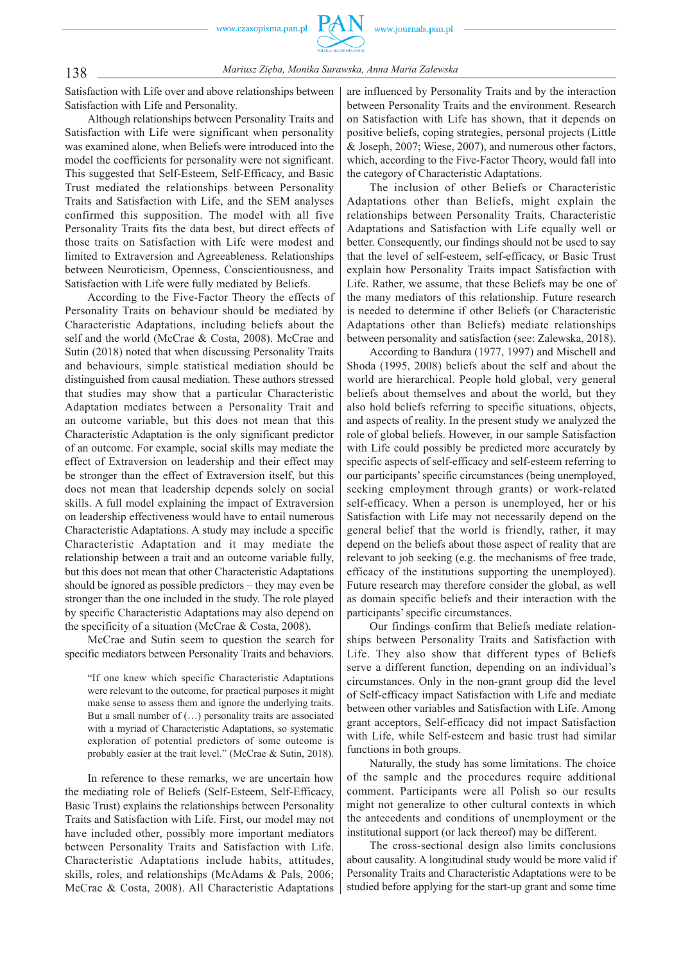

138 *Mariusz Zięba, Monika Surawska, Anna Maria Zalewska*

Satisfaction with Life over and above relationships between Satisfaction with Life and Personality.

Although relationships between Personality Traits and Satisfaction with Life were significant when personality was examined alone, when Beliefs were introduced into the model the coefficients for personality were not significant. This suggested that Self-Esteem, Self-Efficacy, and Basic Trust mediated the relationships between Personality Traits and Satisfaction with Life, and the SEM analyses confirmed this supposition. The model with all five Personality Traits fits the data best, but direct effects of those traits on Satisfaction with Life were modest and limited to Extraversion and Agreeableness. Relationships between Neuroticism, Openness, Conscientiousness, and Satisfaction with Life were fully mediated by Beliefs.

According to the Five-Factor Theory the effects of Personality Traits on behaviour should be mediated by Characteristic Adaptations, including beliefs about the self and the world (McCrae & Costa, 2008). McCrae and Sutin (2018) noted that when discussing Personality Traits and behaviours, simple statistical mediation should be distinguished from causal mediation. These authors stressed that studies may show that a particular Characteristic Adaptation mediates between a Personality Trait and an outcome variable, but this does not mean that this Characteristic Adaptation is the only significant predictor of an outcome. For example, social skills may mediate the effect of Extraversion on leadership and their effect may be stronger than the effect of Extraversion itself, but this does not mean that leadership depends solely on social skills. A full model explaining the impact of Extraversion on leadership effectiveness would have to entail numerous Characteristic Adaptations. A study may include a specific Characteristic Adaptation and it may mediate the relationship between a trait and an outcome variable fully, but this does not mean that other Characteristic Adaptations should be ignored as possible predictors – they may even be stronger than the one included in the study. The role played by specific Characteristic Adaptations may also depend on the specificity of a situation (McCrae & Costa, 2008).

McCrae and Sutin seem to question the search for specific mediators between Personality Traits and behaviors.

"If one knew which specific Characteristic Adaptations were relevant to the outcome, for practical purposes it might make sense to assess them and ignore the underlying traits. But a small number of (…) personality traits are associated with a myriad of Characteristic Adaptations, so systematic exploration of potential predictors of some outcome is probably easier at the trait level." (McCrae & Sutin, 2018).

In reference to these remarks, we are uncertain how the mediating role of Beliefs (Self-Esteem, Self-Efficacy, Basic Trust) explains the relationships between Personality Traits and Satisfaction with Life. First, our model may not have included other, possibly more important mediators between Personality Traits and Satisfaction with Life. Characteristic Adaptations include habits, attitudes, skills, roles, and relationships (McAdams & Pals, 2006; McCrae & Costa, 2008). All Characteristic Adaptations are influenced by Personality Traits and by the interaction between Personality Traits and the environment. Research on Satisfaction with Life has shown, that it depends on positive beliefs, coping strategies, personal projects (Little & Joseph, 2007; Wiese, 2007), and numerous other factors, which, according to the Five-Factor Theory, would fall into the category of Characteristic Adaptations.

The inclusion of other Beliefs or Characteristic Adaptations other than Beliefs, might explain the relationships between Personality Traits, Characteristic Adaptations and Satisfaction with Life equally well or better. Consequently, our findings should not be used to say that the level of self-esteem, self-efficacy, or Basic Trust explain how Personality Traits impact Satisfaction with Life. Rather, we assume, that these Beliefs may be one of the many mediators of this relationship. Future research is needed to determine if other Beliefs (or Characteristic Adaptations other than Beliefs) mediate relationships between personality and satisfaction (see: Zalewska, 2018).

According to Bandura (1977, 1997) and Mischell and Shoda (1995, 2008) beliefs about the self and about the world are hierarchical. People hold global, very general beliefs about themselves and about the world, but they also hold beliefs referring to specific situations, objects, and aspects of reality. In the present study we analyzed the role of global beliefs. However, in our sample Satisfaction with Life could possibly be predicted more accurately by specific aspects of self-efficacy and self-esteem referring to our participants' specific circumstances (being unemployed, seeking employment through grants) or work-related self-efficacy. When a person is unemployed, her or his Satisfaction with Life may not necessarily depend on the general belief that the world is friendly, rather, it may depend on the beliefs about those aspect of reality that are relevant to job seeking (e.g. the mechanisms of free trade, efficacy of the institutions supporting the unemployed). Future research may therefore consider the global, as well as domain specific beliefs and their interaction with the participants' specific circumstances.

Our findings confirm that Beliefs mediate relationships between Personality Traits and Satisfaction with Life. They also show that different types of Beliefs serve a different function, depending on an individual's circumstances. Only in the non-grant group did the level of Self -efficacy impact Satisfaction with Life and mediate between other variables and Satisfaction with Life. Among grant acceptors, Self-efficacy did not impact Satisfaction with Life, while Self-esteem and basic trust had similar functions in both groups.

Naturally, the study has some limitations. The choice of the sample and the procedures require additional comment. Participants were all Polish so our results might not generalize to other cultural contexts in which the antecedents and conditions of unemployment or the institutional support (or lack thereof) may be different.

The cross-sectional design also limits conclusions about causality. A longitudinal study would be more valid if Personality Traits and Characteristic Adaptations were to be studied before applying for the start-up grant and some time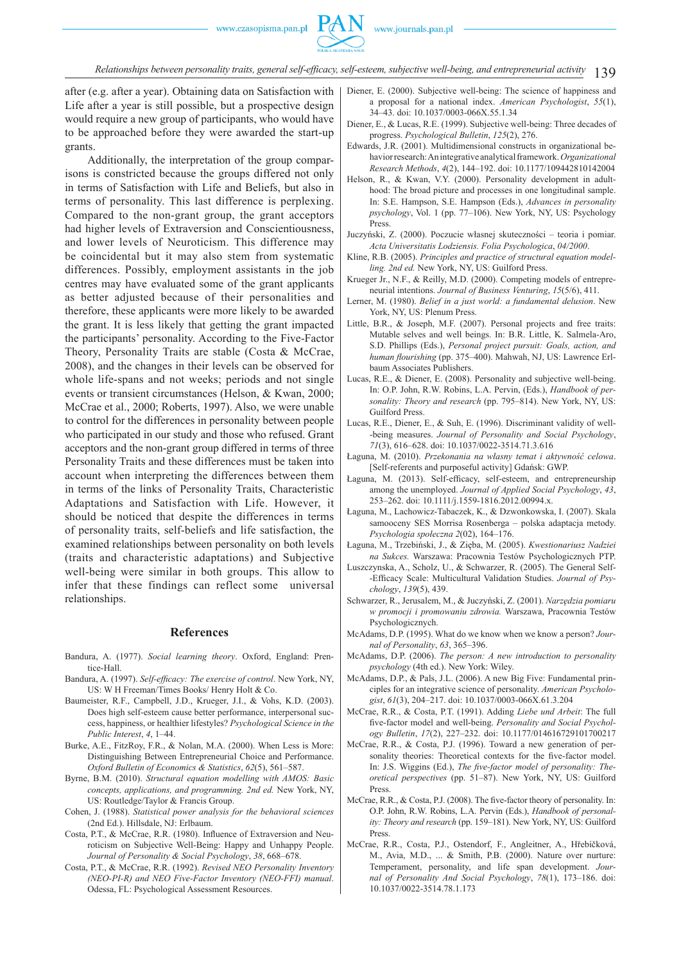#### 139 *Relationships between personality traits, general self-efficacy, self-esteem, subjective well-being, and entrepreneurial activity*

after (e.g. after a year). Obtaining data on Satisfaction with Life after a year is still possible, but a prospective design would require a new group of participants, who would have to be approached before they were awarded the start-up grants.

Additionally, the interpretation of the group comparisons is constricted because the groups differed not only in terms of Satisfaction with Life and Beliefs, but also in terms of personality. This last difference is perplexing. Compared to the non-grant group, the grant acceptors had higher levels of Extraversion and Conscientiousness, and lower levels of Neuroticism. This difference may be coincidental but it may also stem from systematic differences. Possibly, employment assistants in the job centres may have evaluated some of the grant applicants as better adjusted because of their personalities and therefore, these applicants were more likely to be awarded the grant. It is less likely that getting the grant impacted the participants' personality. According to the Five-Factor Theory, Personality Traits are stable (Costa & McCrae, 2008), and the changes in their levels can be observed for whole life-spans and not weeks; periods and not single events or transient circumstances (Helson, & Kwan, 2000; McCrae et al., 2000; Roberts, 1997). Also, we were unable to control for the differences in personality between people who participated in our study and those who refused. Grant acceptors and the non-grant group differed in terms of three Personality Traits and these differences must be taken into account when interpreting the differences between them in terms of the links of Personality Traits, Characteristic Adaptations and Satisfaction with Life. However, it should be noticed that despite the differences in terms of personality traits, self-beliefs and life satisfaction, the examined relationships between personality on both levels (traits and characteristic adaptations) and Subjective well-being were similar in both groups. This allow to infer that these findings can reflect some universal relationships.

#### **References**

- Bandura, A. (1977). *Social learning theory*. Oxford, England: Prentice-Hall.
- Bandura, A. (1997). *Self-efficacy: The exercise of control*. New York, NY, US: W H Freeman/Times Books/ Henry Holt & Co.
- Baumeister, R.F., Campbell, J.D., Krueger, J.I., & Vohs, K.D. (2003). Does high self-esteem cause better performance, interpersonal success, happiness, or healthier lifestyles? *Psychological Science in the Public Interest*, *4*, 1–44.
- Burke, A.E., FitzRoy, F.R., & Nolan, M.A. (2000). When Less is More: Distinguishing Between Entrepreneurial Choice and Performance. *Oxford Bulletin of Economics & Statistics*, *62*(5), 561–587.
- Byrne, B.M. (2010). *Structural equation modelling with AMOS: Basic concepts, applications, and programming. 2nd ed.* New York, NY, US: Routledge/Taylor & Francis Group.
- Cohen, J. (1988). *Statistical power analysis for the behavioral sciences*  (2nd Ed.). Hillsdale, NJ: Erlbaum.
- Costa, P.T., & McCrae, R.R. (1980). Influence of Extraversion and Neuroticism on Subjective Well-Being: Happy and Unhappy People. *Journal of Personality & Social Psychology*, *38*, 668–678.
- Costa, P.T., & McCrae, R.R. (1992). *Revised NEO Personality Inventory (NEO-PI-R) and NEO Five-Factor Inventory (NEO-FFI) manual*. Odessa, FL: Psychological Assessment Resources.
- Diener, E. (2000). Subjective well-being: The science of happiness and a proposal for a national index. *American Psychologist*, *55*(1), 34–43. doi: 10.1037/0003-066X.55.1.34
- Diener, E., & Lucas, R.E. (1999). Subjective well-being: Three decades of progress. *Psychological Bulletin*, *125*(2), 276.
- Edwards, J.R. (2001). Multidimensional constructs in organizational behavior research: An integrative analytical framework. *Organizational Research Methods*, *4*(2), 144–192. doi: 10.1177/109442810142004
- Helson, R., & Kwan, V.Y. (2000). Personality development in adulthood: The broad picture and processes in one longitudinal sample. In: S.E. Hampson, S.E. Hampson (Eds.), *Advances in personality psychology*, Vol. 1 (pp. 77–106). New York, NY, US: Psychology Press.
- Juczyński, Z. (2000). Poczucie własnej skuteczności teoria i pomiar. *Acta Universitatis Lodziensis. Folia Psychologica*, *04/2000*.
- Kline, R.B. (2005). *Principles and practice of structural equation modelling. 2nd ed.* New York, NY, US: Guilford Press.
- Krueger Jr., N.F., & Reilly, M.D. (2000). Competing models of entrepreneurial intentions. *Journal of Business Venturing*, *15*(5/6), 411.
- Lerner, M. (1980). *Belief in a just world: a fundamental delusion*. New York, NY, US: Plenum Press.
- Little, B.R., & Joseph, M.F. (2007). Personal projects and free traits: Mutable selves and well beings. In: B.R. Little, K. Salmela-Aro, S.D. Phillips (Eds.), *Personal project pursuit: Goals, action, and*  human flourishing (pp. 375-400). Mahwah, NJ, US: Lawrence Erlbaum Associates Publishers.
- Lucas, R.E., & Diener, E. (2008). Personality and subjective well-being. In: O.P. John, R.W. Robins, L.A. Pervin, (Eds.), *Handbook of personality: Theory and research* (pp. 795–814). New York, NY, US: Guilford Press.
- Lucas, R.E., Diener, E., & Suh, E. (1996). Discriminant validity of well- -being measures. *Journal of Personality and Social Psychology*, *71*(3), 616–628. doi: 10.1037/0022-3514.71.3.616
- Łaguna, M. (2010). *Przekonania na własny temat i aktywność celowa*. [Self-referents and purposeful activity] Gdańsk: GWP.
- Łaguna, M. (2013). Self-efficacy, self-esteem, and entrepreneurship among the unemployed. *Journal of Applied Social Psychology*, *43*, 253–262. doi: 10.1111/j.1559-1816.2012.00994.x.
- Łaguna, M., Lachowicz-Tabaczek, K., & Dzwonkowska, I. (2007). Skala samooceny SES Morrisa Rosenberga – polska adaptacja metody. *Psychologia społeczna 2*(02), 164–176.
- Łaguna, M., Trzebiński, J., & Zięba, M. (2005). *Kwestionariusz Nadziei na Sukces.* Warszawa: Pracownia Testów Psychologicznych PTP.
- Luszczynska, A., Scholz, U., & Schwarzer, R. (2005). The General Self- -Efficacy Scale: Multicultural Validation Studies. *Journal of Psychology*, *139*(5), 439.
- Schwarzer, R., Jerusalem, M., & Juczyński, Z. (2001). *Narzędzia pomiaru w promocji i promowaniu zdrowia.* Warszawa, Pracownia Testów Psychologicznych.
- McAdams, D.P. (1995). What do we know when we know a person? *Journal of Personality*, *63*, 365–396.
- McAdams, D.P. (2006). *The person: A new introduction to personality psychology* (4th ed.). New York: Wiley.
- McAdams, D.P., & Pals, J.L. (2006). A new Big Five: Fundamental principles for an integrative science of personality. *American Psychologist*, *61*(3), 204–217. doi: 10.1037/0003-066X.61.3.204
- McCrae, R.R., & Costa, P.T. (1991). Adding *Liebe und Arbeit*: The full five-factor model and well-being. Personality and Social Psychol*ogy Bulletin*, *17*(2), 227–232. doi: 10.1177/014616729101700217
- McCrae, R.R., & Costa, P.J. (1996). Toward a new generation of personality theories: Theoretical contexts for the five-factor model. In: J.S. Wiggins (Ed.), *The five-factor model of personality: Theoretical perspectives* (pp. 51–87). New York, NY, US: Guilford Press.
- McCrae, R.R., & Costa, P.J. (2008). The five-factor theory of personality. In: O.P. John, R.W. Robins, L.A. Pervin (Eds.), *Handbook of personality: Theory and research* (pp. 159–181). New York, NY, US: Guilford Press.
- McCrae, R.R., Costa, P.J., Ostendorf, F., Angleitner, A., Hřebíčková, M., Avia, M.D., ... & Smith, P.B. (2000). Nature over nurture: Temperament, personality, and life span development. *Journal of Personality And Social Psychology*, *78*(1), 173–186. doi: 10.1037/0022-3514.78.1.173